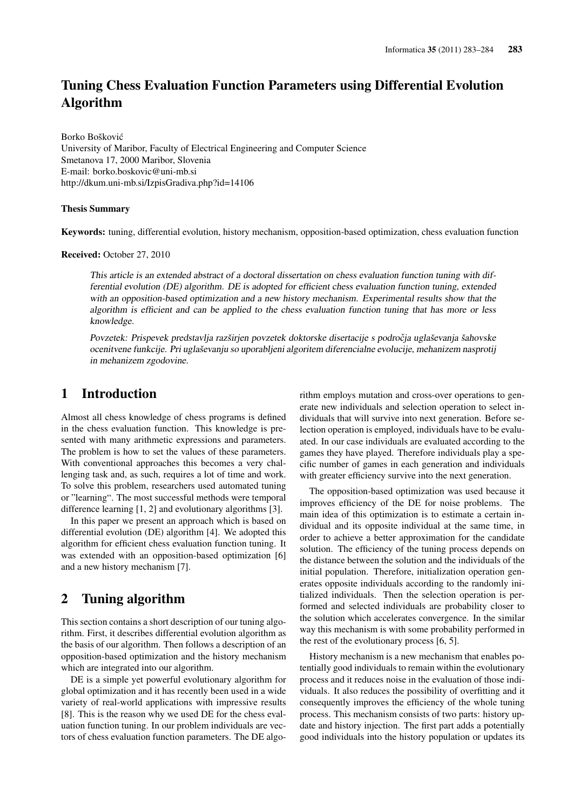# Tuning Chess Evaluation Function Parameters using Differential Evolution Algorithm

Borko Boškovic´ University of Maribor, Faculty of Electrical Engineering and Computer Science Smetanova 17, 2000 Maribor, Slovenia E-mail: borko.boskovic@uni-mb.si http://dkum.uni-mb.si/IzpisGradiva.php?id=14106

#### Thesis Summary

Keywords: tuning, differential evolution, history mechanism, opposition-based optimization, chess evaluation function

Received: October 27, 2010

This article is an extended abstract of a doctoral dissertation on chess evaluation function tuning with differential evolution (DE) algorithm. DE is adopted for efficient chess evaluation function tuning, extended with an opposition-based optimization and <sup>a</sup> new history mechanism. Experimental results show that the algorithm is efficient and can be applied to the chess evaluation function tuning that has more or less knowledge.

Povzetek: Prispevek predstavlja razširjen povzetek doktorske disertacije s področja uglaševanja šahovske ocenitvene funkcije. Pri uglaševanju so uporabljeni algoritem diferencialne evolucije, mehanizem nasprotij in mehanizem zgodovine.

#### 1 Introduction

Almost all chess knowledge of chess programs is defined in the chess evaluation function. This knowledge is presented with many arithmetic expressions and parameters. The problem is how to set the values of these parameters. With conventional approaches this becomes a very challenging task and, as such, requires a lot of time and work. To solve this problem, researchers used automated tuning or "learning". The most successful methods were temporal difference learning [1, 2] and evolutionary algorithms [3].

In this paper we present an approach which is based on differential evolution (DE) algorithm [4]. We adopted this algorithm for efficient chess evaluation function tuning. It was extended with an opposition-based optimization [6] and a new history mechanism [7].

### 2 Tuning algorithm

This section contains a short description of our tuning algorithm. First, it describes differential evolution algorithm as the basis of our algorithm. Then follows a description of an opposition-based optimization and the history mechanism which are integrated into our algorithm.

DE is a simple yet powerful evolutionary algorithm for global optimization and it has recently been used in a wide variety of real-world applications with impressive results [8]. This is the reason why we used DE for the chess evaluation function tuning. In our problem individuals are vectors of chess evaluation function parameters. The DE algorithm employs mutation and cross-over operations to generate new individuals and selection operation to select individuals that will survive into next generation. Before selection operation is employed, individuals have to be evaluated. In our case individuals are evaluated according to the games they have played. Therefore individuals play a specific number of games in each generation and individuals with greater efficiency survive into the next generation.

The opposition-based optimization was used because it improves efficiency of the DE for noise problems. The main idea of this optimization is to estimate a certain individual and its opposite individual at the same time, in order to achieve a better approximation for the candidate solution. The efficiency of the tuning process depends on the distance between the solution and the individuals of the initial population. Therefore, initialization operation generates opposite individuals according to the randomly initialized individuals. Then the selection operation is performed and selected individuals are probability closer to the solution which accelerates convergence. In the similar way this mechanism is with some probability performed in the rest of the evolutionary process [6, 5].

History mechanism is a new mechanism that enables potentially good individuals to remain within the evolutionary process and it reduces noise in the evaluation of those individuals. It also reduces the possibility of overfitting and it consequently improves the efficiency of the whole tuning process. This mechanism consists of two parts: history update and history injection. The first part adds a potentially good individuals into the history population or updates its